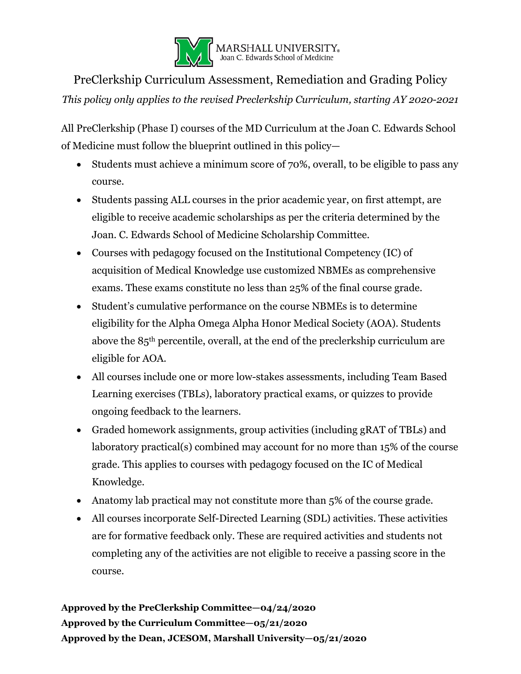

PreClerkship Curriculum Assessment, Remediation and Grading Policy *This policy only applies to the revised Preclerkship Curriculum, starting AY 2020-2021*

All PreClerkship (Phase I) courses of the MD Curriculum at the Joan C. Edwards School of Medicine must follow the blueprint outlined in this policy—

- Students must achieve a minimum score of 70%, overall, to be eligible to pass any course.
- Students passing ALL courses in the prior academic year, on first attempt, are eligible to receive academic scholarships as per the criteria determined by the Joan. C. Edwards School of Medicine Scholarship Committee.
- Courses with pedagogy focused on the Institutional Competency (IC) of acquisition of Medical Knowledge use customized NBMEs as comprehensive exams. These exams constitute no less than 25% of the final course grade.
- Student's cumulative performance on the course NBMEs is to determine eligibility for the Alpha Omega Alpha Honor Medical Society (AOA). Students above the 85th percentile, overall, at the end of the preclerkship curriculum are eligible for AOA.
- All courses include one or more low-stakes assessments, including Team Based Learning exercises (TBLs), laboratory practical exams, or quizzes to provide ongoing feedback to the learners.
- Graded homework assignments, group activities (including gRAT of TBLs) and laboratory practical(s) combined may account for no more than 15% of the course grade. This applies to courses with pedagogy focused on the IC of Medical Knowledge.
- Anatomy lab practical may not constitute more than 5% of the course grade.
- All courses incorporate Self-Directed Learning (SDL) activities. These activities are for formative feedback only. These are required activities and students not completing any of the activities are not eligible to receive a passing score in the course.

**Approved by the PreClerkship Committee—04/24/2020 Approved by the Curriculum Committee—05/21/2020 Approved by the Dean, JCESOM, Marshall University—05/21/2020**